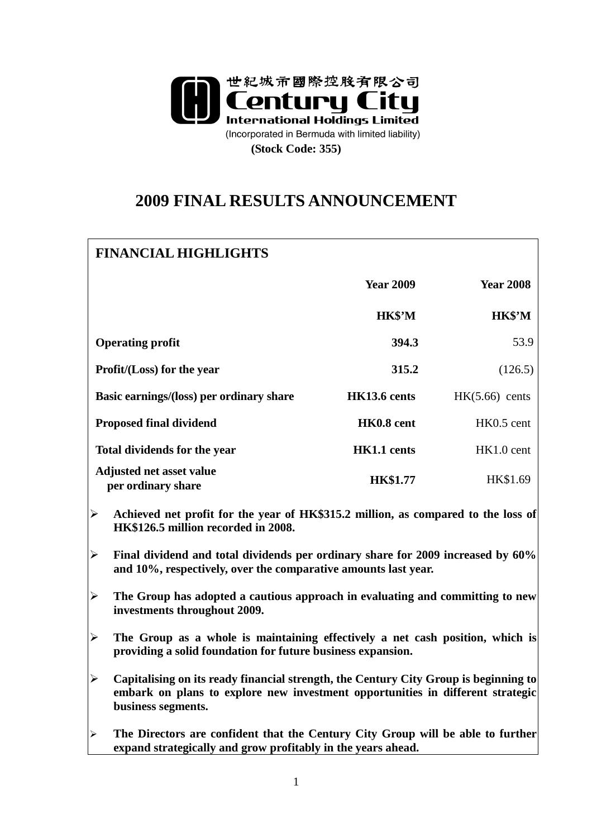

# **2009 FINAL RESULTS ANNOUNCEMENT**

| <b>FINANCIAL HIGHLIGHTS</b>                                                                                                                                                                                           |                  |                  |
|-----------------------------------------------------------------------------------------------------------------------------------------------------------------------------------------------------------------------|------------------|------------------|
|                                                                                                                                                                                                                       | <b>Year 2009</b> | <b>Year 2008</b> |
|                                                                                                                                                                                                                       | HK\$'M           | HK\$'M           |
| <b>Operating profit</b>                                                                                                                                                                                               | 394.3            | 53.9             |
| Profit/(Loss) for the year                                                                                                                                                                                            | 315.2            | (126.5)          |
| Basic earnings/(loss) per ordinary share                                                                                                                                                                              | HK13.6 cents     | $HK(5.66)$ cents |
| <b>Proposed final dividend</b>                                                                                                                                                                                        | HK0.8 cent       | HK0.5 cent       |
| Total dividends for the year                                                                                                                                                                                          | HK1.1 cents      | HK1.0 cent       |
| <b>Adjusted net asset value</b><br>per ordinary share                                                                                                                                                                 | <b>HK\$1.77</b>  | HK\$1.69         |
| $\blacktriangleright$<br>Achieved net profit for the year of HK\$315.2 million, as compared to the loss of<br>HK\$126.5 million recorded in 2008.                                                                     |                  |                  |
| $\blacktriangleright$<br>Final dividend and total dividends per ordinary share for 2009 increased by 60%<br>and 10%, respectively, over the comparative amounts last year.                                            |                  |                  |
| $\blacktriangleright$<br>The Group has adopted a cautious approach in evaluating and committing to new<br>investments throughout 2009.                                                                                |                  |                  |
| $\blacktriangleright$<br>The Group as a whole is maintaining effectively a net cash position, which is<br>providing a solid foundation for future business expansion.                                                 |                  |                  |
| $\blacktriangleright$<br>Capitalising on its ready financial strength, the Century City Group is beginning to<br>embark on plans to explore new investment opportunities in different strategic<br>business segments. |                  |                  |
| The Directors are confident that the Century City Group will be able to further<br>➤<br>expand strategically and grow profitably in the years ahead.                                                                  |                  |                  |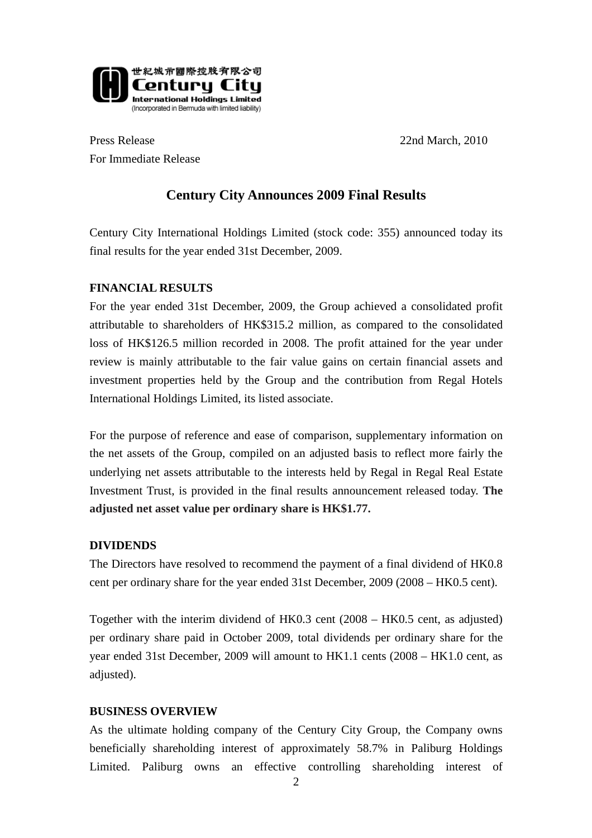

Press Release 22nd March, 2010 For Immediate Release

## **Century City Announces 2009 Final Results**

Century City International Holdings Limited (stock code: 355) announced today its final results for the year ended 31st December, 2009.

#### **FINANCIAL RESULTS**

For the year ended 31st December, 2009, the Group achieved a consolidated profit attributable to shareholders of HK\$315.2 million, as compared to the consolidated loss of HK\$126.5 million recorded in 2008. The profit attained for the year under review is mainly attributable to the fair value gains on certain financial assets and investment properties held by the Group and the contribution from Regal Hotels International Holdings Limited, its listed associate.

For the purpose of reference and ease of comparison, supplementary information on the net assets of the Group, compiled on an adjusted basis to reflect more fairly the underlying net assets attributable to the interests held by Regal in Regal Real Estate Investment Trust, is provided in the final results announcement released today. **The adjusted net asset value per ordinary share is HK\$1.77.**

#### **DIVIDENDS**

The Directors have resolved to recommend the payment of a final dividend of HK0.8 cent per ordinary share for the year ended 31st December, 2009 (2008 – HK0.5 cent).

Together with the interim dividend of HK0.3 cent (2008 – HK0.5 cent, as adjusted) per ordinary share paid in October 2009, total dividends per ordinary share for the year ended 31st December, 2009 will amount to HK1.1 cents (2008 – HK1.0 cent, as adjusted).

#### **BUSINESS OVERVIEW**

As the ultimate holding company of the Century City Group, the Company owns beneficially shareholding interest of approximately 58.7% in Paliburg Holdings Limited. Paliburg owns an effective controlling shareholding interest of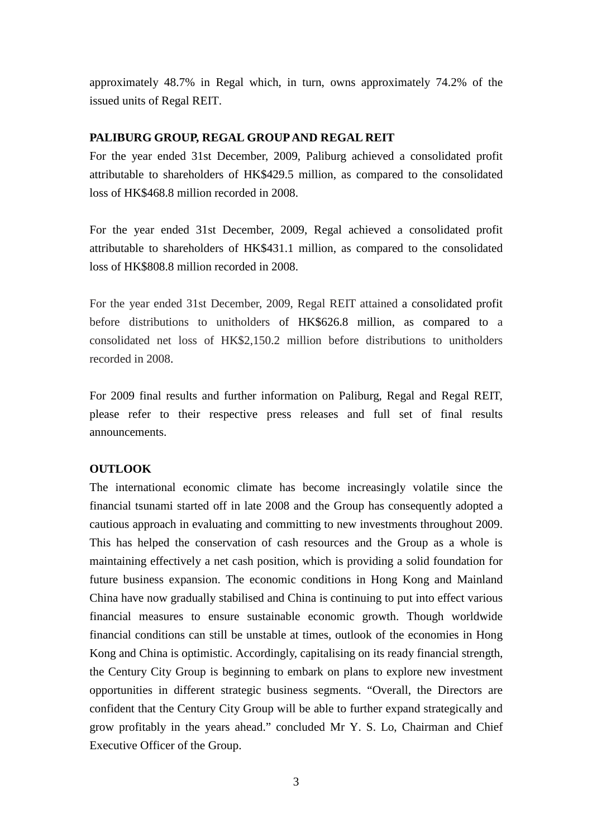approximately 48.7% in Regal which, in turn, owns approximately 74.2% of the issued units of Regal REIT.

### **PALIBURG GROUP, REGAL GROUP AND REGAL REIT**

For the year ended 31st December, 2009, Paliburg achieved a consolidated profit attributable to shareholders of HK\$429.5 million, as compared to the consolidated loss of HK\$468.8 million recorded in 2008.

For the year ended 31st December, 2009, Regal achieved a consolidated profit attributable to shareholders of HK\$431.1 million, as compared to the consolidated loss of HK\$808.8 million recorded in 2008.

For the year ended 31st December, 2009, Regal REIT attained a consolidated profit before distributions to unitholders of HK\$626.8 million, as compared to a consolidated net loss of HK\$2,150.2 million before distributions to unitholders recorded in 2008.

For 2009 final results and further information on Paliburg, Regal and Regal REIT, please refer to their respective press releases and full set of final results announcements.

## **OUTLOOK**

The international economic climate has become increasingly volatile since the financial tsunami started off in late 2008 and the Group has consequently adopted a cautious approach in evaluating and committing to new investments throughout 2009. This has helped the conservation of cash resources and the Group as a whole is maintaining effectively a net cash position, which is providing a solid foundation for future business expansion. The economic conditions in Hong Kong and Mainland China have now gradually stabilised and China is continuing to put into effect various financial measures to ensure sustainable economic growth. Though worldwide financial conditions can still be unstable at times, outlook of the economies in Hong Kong and China is optimistic. Accordingly, capitalising on its ready financial strength, the Century City Group is beginning to embark on plans to explore new investment opportunities in different strategic business segments. "Overall, the Directors are confident that the Century City Group will be able to further expand strategically and grow profitably in the years ahead." concluded Mr Y. S. Lo, Chairman and Chief Executive Officer of the Group.